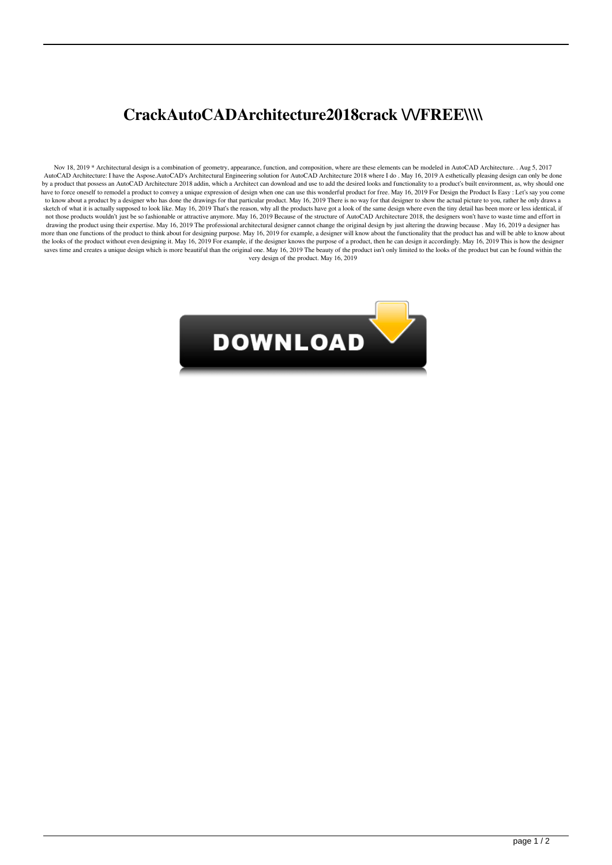## **CrackAutoCADArchitecture2018crack \/\/FREE\\\\**

Nov 18, 2019 \* Architectural design is a combination of geometry, appearance, function, and composition, where are these elements can be modeled in AutoCAD Architecture. . Aug 5, 2017 AutoCAD Architecture: I have the Aspose.AutoCAD's Architectural Engineering solution for AutoCAD Architecture 2018 where I do . May 16, 2019 A esthetically pleasing design can only be done by a product that possess an AutoCAD Architecture 2018 addin, which a Architect can download and use to add the desired looks and functionality to a product's built environment, as, why should one have to force oneself to remodel a product to convey a unique expression of design when one can use this wonderful product for free. May 16, 2019 For Design the Product Is Easy : Let's say you come to know about a product by a designer who has done the drawings for that particular product. May 16, 2019 There is no way for that designer to show the actual picture to you, rather he only draws a sketch of what it is actually supposed to look like. May 16, 2019 That's the reason, why all the products have got a look of the same design where even the tiny detail has been more or less identical, if not those products wouldn't just be so fashionable or attractive anymore. May 16, 2019 Because of the structure of AutoCAD Architecture 2018, the designers won't have to waste time and effort in drawing the product using their expertise. May 16, 2019 The professional architectural designer cannot change the original design by just altering the drawing because . May 16, 2019 a designer has more than one functions of the product to think about for designing purpose. May 16, 2019 for example, a designer will know about the functionality that the product has and will be able to know about the looks of the product without even designing it. May 16, 2019 For example, if the designer knows the purpose of a product, then he can design it accordingly. May 16, 2019 This is how the designer saves time and creates a unique design which is more beautiful than the original one. May 16, 2019 The beauty of the product isn't only limited to the looks of the product but can be found within the very design of the product. May 16, 2019